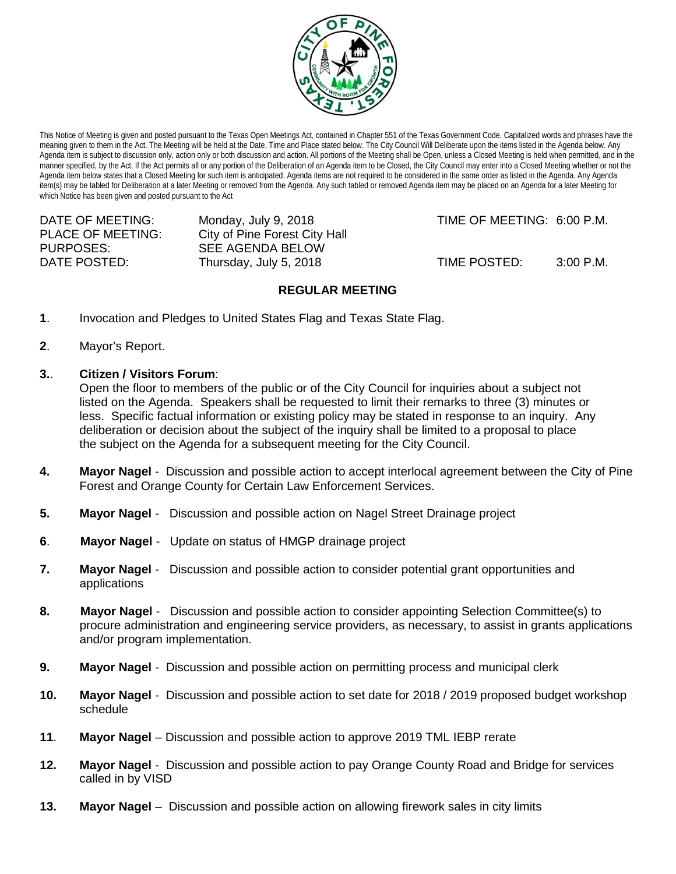

This Notice of Meeting is given and posted pursuant to the Texas Open Meetings Act, contained in Chapter 551 of the Texas Government Code. Capitalized words and phrases have the meaning given to them in the Act. The Meeting will be held at the Date, Time and Place stated below. The City Council Will Deliberate upon the items listed in the Agenda below. Any Agenda item is subject to discussion only, action only or both discussion and action. All portions of the Meeting shall be Open, unless a Closed Meeting is held when permitted, and in the manner specified, by the Act. If the Act permits all or any portion of the Deliberation of an Agenda item to be Closed, the City Council may enter into a Closed Meeting whether or not the Agenda item below states that a Closed Meeting for such item is anticipated. Agenda items are not required to be considered in the same order as listed in the Agenda. Any Agenda item(s) may be tabled for Deliberation at a later Meeting or removed from the Agenda. Any such tabled or removed Agenda item may be placed on an Agenda for a later Meeting for which Notice has been given and posted pursuant to the Act

| DATE OF MEETING:         | Monday, July 9, 2018          |
|--------------------------|-------------------------------|
| <b>PLACE OF MEETING:</b> | City of Pine Forest City Hall |
| PURPOSES:                | <b>SEE AGENDA BELOW</b>       |
| DATE POSTED:             | Thursday, July 5, 2018        |
|                          |                               |

TIME OF MEETING: 6:00 P.M.

TIME POSTED: 3:00 P.M.

## **REGULAR MEETING**

- **1**. Invocation and Pledges to United States Flag and Texas State Flag.
- **2**. Mayor's Report.
- **3.**. **Citizen / Visitors Forum**:

Open the floor to members of the public or of the City Council for inquiries about a subject not listed on the Agenda. Speakers shall be requested to limit their remarks to three (3) minutes or less. Specific factual information or existing policy may be stated in response to an inquiry. Any deliberation or decision about the subject of the inquiry shall be limited to a proposal to place the subject on the Agenda for a subsequent meeting for the City Council.

- **4. Mayor Nagel** Discussion and possible action to accept interlocal agreement between the City of Pine Forest and Orange County for Certain Law Enforcement Services.
- **5. Mayor Nagel** Discussion and possible action on Nagel Street Drainage project
- **6**. **Mayor Nagel** Update on status of HMGP drainage project
- **7. Mayor Nagel** Discussion and possible action to consider potential grant opportunities and applications
- **8. Mayor Nagel** Discussion and possible action to consider appointing Selection Committee(s) to procure administration and engineering service providers, as necessary, to assist in grants applications and/or program implementation.
- **9. Mayor Nagel** Discussion and possible action on permitting process and municipal clerk
- **10. Mayor Nagel** Discussion and possible action to set date for 2018 / 2019 proposed budget workshop schedule
- **11**. **Mayor Nagel** Discussion and possible action to approve 2019 TML IEBP rerate
- **12. Mayor Nagel** Discussion and possible action to pay Orange County Road and Bridge for services called in by VISD
- **13. Mayor Nagel –** Discussion and possible action on allowing firework sales in city limits